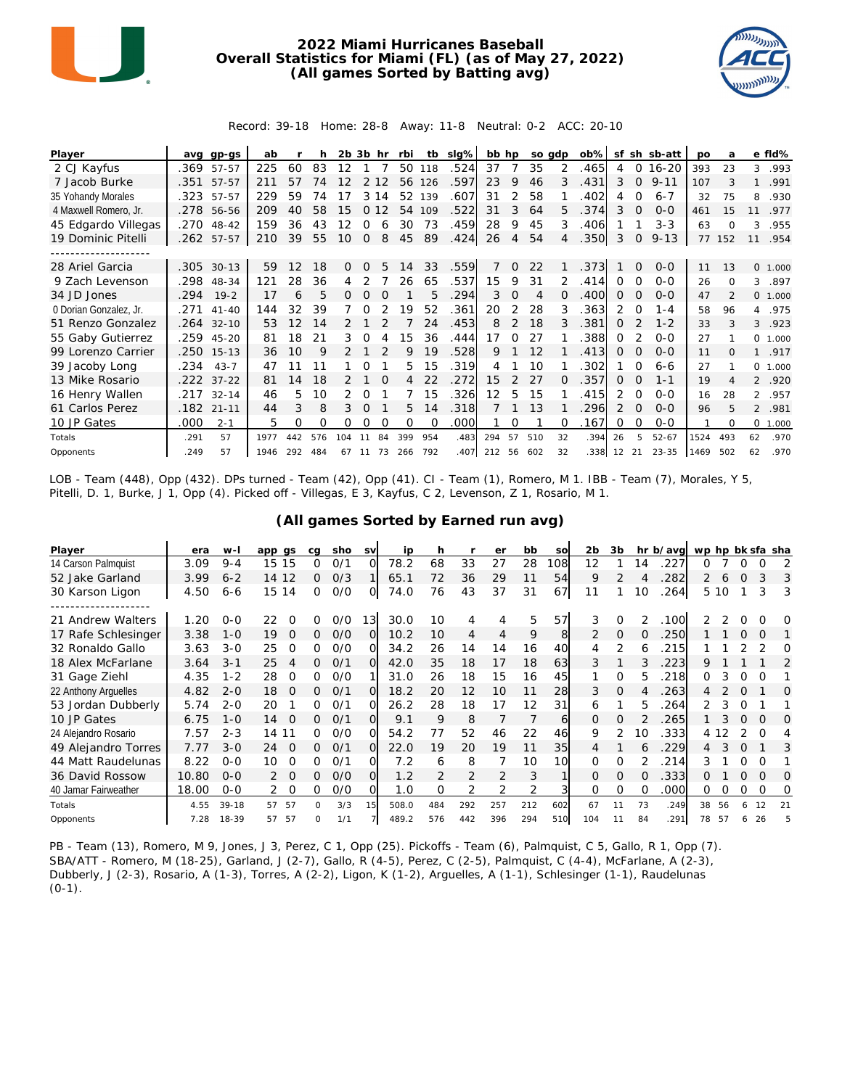

## **2022 Miami Hurricanes Baseball Overall Statistics for Miami (FL) (as of May 27, 2022) (All games Sorted by Batting avg)**



Record: 39-18 Home: 28-8 Away: 11-8 Neutral: 0-2 ACC: 20-10

| Player                 | ava  | $qp-gs$      | ab   |     |                | $2b$ $3b$ |          | hr       | rbi      | tb       | slg% | bb hp |               |     | so adp   | $ob\%$ | sf            |          | sh sb-att | po   | a        |                | e fld%   |
|------------------------|------|--------------|------|-----|----------------|-----------|----------|----------|----------|----------|------|-------|---------------|-----|----------|--------|---------------|----------|-----------|------|----------|----------------|----------|
| 2 CJ Kayfus            | .369 | 57-57        | 225  | 60  | 83             | 12        |          |          | 50       | 118      | .524 | 37    |               | 35  |          | .465   | 4             | 0        | $16 - 20$ | 393  | 23       | 3              | .993     |
| 7 Jacob Burke          | .351 | 57-57        | 211  | 57  | 74             |           |          |          | 56       | 126      | .597 | 23    | 9             | 46  | 3        | .431   | 3             | $\Omega$ | $9 - 11$  | 107  |          | 1              | .991     |
| 35 Yohandy Morales     | .323 | 57-57        | 229  | 59  | 74             |           | 3        | 4        | 52       | 139      | .607 | 31    | 2             | 58  |          | 402    | 4             | $\Omega$ | $6 - 7$   | 32   | 75       | 8              | .930     |
| 4 Maxwell Romero, Jr.  |      | .278 56-56   | 209  | 40  | 58             | 15        | $\Omega$ | 12       | 54       | 109      | .522 | 31    | 3             | 64  | 5.       | .374   | 3             | 0        | $0 - 0$   | 461  | 15       | 11             | .977     |
| 45 Edgardo Villegas    |      | .270 48-42   | 159  | 36  | 43             | 12        | 0        |          | 30       | 73       | .459 | 28    | 9             | 45  | 3        | .406   |               |          | $3 - 3$   | 63   | $\Omega$ | 3              | .955     |
| 19 Dominic Pitelli     |      | .262 57-57   | 210  | 39  | 55             | 10        | $\Omega$ | 8        | 45       | 89       | .424 | 26    | 4             | 54  |          | .350   | 3             | 0        | $9 - 13$  | 77   | 152      | 11             | .954     |
|                        |      |              |      |     |                |           |          |          |          |          |      |       |               |     |          |        |               |          |           |      |          |                |          |
| 28 Ariel Garcia        | .305 | $30 - 13$    | 59   | 12  | 18             | 0         | 0        | 5.       | 14       | 33       | .559 |       | <sup>o</sup>  | 22  |          | .373   |               | $\Omega$ | $0 - 0$   | 11   | 13       |                | 0 1.000  |
| 9 Zach Levenson        | .298 | 48-34        | 121  | 28  | 36             | 4         |          |          | 26       | 65       | .537 | 15    | 9             | 31  |          | .414   | 0             | $\Omega$ | $0 - 0$   | 26   | $\Omega$ | 3              | .897     |
| 34 JD Jones            | .294 | $19 - 2$     | 17   | 6   | 5              | 0         | $\Omega$ |          |          | 5        | .294 | 3     | $\Omega$      | 4   | $\Omega$ | .400   | 0             | $\Omega$ | $0 - 0$   | 47   |          |                | 0, 1,000 |
| 0 Dorian Gonzalez, Jr. | .271 | $41 - 40$    | 144  | 32  | 39             |           |          |          | 19       | 52       | .361 | 20    | 2             | 28  | 3        | .363   | 2             | O        | $1 - 4$   | 58   | 96       | 4              | .975     |
| 51 Renzo Gonzalez      | .264 | $32 - 10$    | 53   | 12  | 14             |           |          |          |          | 24       | .453 | 8     | $\mathcal{P}$ | 18  |          | 381    | $\Omega$      |          | $1 - 2$   | 33   | 3        | 3              | .923     |
| 55 Gaby Gutierrez      | .259 | 45-20        | 81   | 18  | 2 <sup>1</sup> | 3         | 0        |          | 15       | 36       | .444 | 17    | ∩             | 27  |          | .388   | $\Omega$      |          | $0 - 0$   | 27   |          |                | 0, 1,000 |
| 99 Lorenzo Carrier     | .250 | $15 - 13$    | 36   | 10  | 9              |           |          |          | 9        | 19       | .528 | 9     |               | 12  |          | .413   | 0             | $\Omega$ | $0 - 0$   | 11   | O        | $\mathbf{1}$   | .917     |
| 39 Jacoby Long         | .234 | $43 - 7$     | 47   |     |                |           |          |          | 5.       | 15       | .319 | 4     |               | 10  |          | 302    |               | $\Omega$ | $6 - 6$   | 27   |          |                | 0, 1,000 |
| 13 Mike Rosario        |      | $.222$ 37-22 | 81   | 14  | 18             | 2         |          | $\Omega$ | 4        | 22       | .272 | 15    |               | 27  | $\Omega$ | .357   | $\Omega$      | $\Omega$ | $1 - 1$   | 19   | 4        |                | 2 .920   |
| 16 Henry Wallen        | .217 | $32 - 14$    | 46   | 5   | 10             |           |          |          |          | 15       | .326 | 12    | 5             | 15  |          | .415   | 2             | $\Omega$ | $0 - 0$   | 16   | 28       | $\overline{2}$ | .957     |
| 61 Carlos Perez        | .182 | $21 - 11$    | 44   | 3   | 8              | 3         | O        |          | 5.       | 14       | .318 |       |               | 1.3 |          | 296    | $\mathcal{P}$ | $\Omega$ | $0 - 0$   | 96   | 5        | $\overline{2}$ | .981     |
| 10 JP Gates            | .000 | $2 - 1$      | 5    | 0   | Ω              | Ω         | 0        | O        | $\Omega$ | $\Omega$ | .000 |       | 0             |     | O        | .167   | 0             | 0        | $0 - 0$   |      | $\Omega$ | $\circ$        | 1.000    |
| Totals                 | .291 | 57           | 1977 | 442 | 576            | 104       |          | 84       | 399      | 954      | .483 | 294   | 57            | 510 | 32       | .394   | 26            | 5        | $52 - 67$ | 1524 | 493      | 62             | .970     |
| Opponents              | .249 | 57           | 1946 | 292 | 484            | 67        | 11       | 73       | 266      | 792      | .407 | 212   | 56            | 602 | 32       | .338   | 12            | 21       | $23 - 35$ | 1469 | 502      | 62             | .970     |

LOB - Team (448), Opp (432). DPs turned - Team (42), Opp (41). CI - Team (1), Romero, M 1. IBB - Team (7), Morales, Y 5, Pitelli, D. 1, Burke, J 1, Opp (4). Picked off - Villegas, E 3, Kayfus, C 2, Levenson, Z 1, Rosario, M 1.

| Player                                | era   | $W -$   | app qs         | ca       | sho | <b>SV</b>      | ip    | h        |                | er             | bb  | SO  | 2 <sub>b</sub> | 3b             |                | hr b/avg | wp hp bk sfa sha |      |          |          |          |
|---------------------------------------|-------|---------|----------------|----------|-----|----------------|-------|----------|----------------|----------------|-----|-----|----------------|----------------|----------------|----------|------------------|------|----------|----------|----------|
| 14 Carson Palmquist                   | 3.09  | $9 - 4$ | 15<br>15       | ი        | 0/1 | O              | 78.2  | 68       | 33             | 27             | 28  | 08  | 12             |                | $\overline{4}$ | 227      | O                |      | O        | $\Omega$ | 2        |
| 52 Jake Garland                       | 3.99  | $6 - 2$ | 12<br>14       | 0        | O/3 |                | 65.1  | 72       | 36             | 29             | 11  | 54  | 9              | $\overline{2}$ | 4              | 282      | 2                | 6    | $\Omega$ |          | 3        |
| 30 Karson Ligon                       | 4.50  | $6 - 6$ | 15<br>14       | 0        | 0/0 | Ω              | 74.0  | 76       | 43             | 37             | 31  | 67  | 11             |                | 10             | 264      |                  | 5 10 |          | 3        | 3        |
| ----------------<br>21 Andrew Walters | 1.20  | $0 - 0$ | 22<br>Ω        | 0        | O/O | $\overline{3}$ | 30.0  | 10       | 4              | 4              | 5   | 57  | 3              | 0              |                | .100     |                  |      |          | Ω        | O        |
| 17 Rafe Schlesinger                   | 3.38  | $1 - 0$ | 19<br>$\Omega$ | 0        | O/O | $\Omega$       | 10.2  | 10       | 4              | 4              | 9   | 8   | $\overline{2}$ | $\Omega$       | 0              | .250     |                  |      | 0        | $\Omega$ |          |
| 32 Ronaldo Gallo                      | 3.63  | $3 - 0$ | 25<br>$\Omega$ | 0        | O/O | $\Omega$       | 34.2  | 26       | 14             | 14             | 16  | 40  | 4              | 2              | 6              | 215      |                  |      | っ        |          | $\Omega$ |
| 18 Alex McFarlane                     | 3.64  | $3 - 1$ | 25<br>4        | 0        | 0/1 | $\Omega$       | 42.0  | 35       | 18             | 17             | 18  | 63  | 3              |                |                | 223      | 9                |      |          |          | 2        |
| 31 Gage Ziehl                         | 4.35  | $1 - 2$ | 28<br>0        | 0        | O/O |                | 31.0  | 26       | 18             | 15             | 16  | 45  |                | O              | 5              | 218      | 0                |      | ∩        | Ω        |          |
| 22 Anthony Arguelles                  | 4.82  | $2 - 0$ | 18<br>$\Omega$ | 0        | O/1 | $\Omega$       | 18.2  | 20       | 12             | 10             | 11  | 28  | 3              | $\mathcal{O}$  | 4              | 263      | 4                |      | $\Omega$ |          | $\Omega$ |
| 53 Jordan Dubberly                    | 5.74  | $2 - 0$ | 20             | 0        | 0/1 | $\Omega$       | 26.2  | 28       | 18             | 17             | 12  | 31  | 6              |                | 5.             | 264      |                  | 3    | O        |          |          |
| 10 JP Gates                           | 6.75  | $1 - 0$ | 14<br>$\Omega$ | 0        | O/1 | O              | 9.1   | 9        | 8              |                |     | 6   | $\Omega$       | $\Omega$       |                | 265      |                  |      | $\Omega$ | O        | $\Omega$ |
| 24 Alejandro Rosario                  | 7.57  | $2 - 3$ | 14 11          | 0        | O/O | $\Omega$       | 54.2  | 77       | 52             | 46             | 22  | 46  | 9              | $\mathcal{P}$  | 10             | .333     | 4 1              |      |          | ∩        | 4        |
| 49 Alejandro Torres                   | 7.77  | $3 - 0$ | 24<br>$\Omega$ | 0        | 0/1 | $\Omega$       | 22.0  | 19       | 20             | 19             | 11  | 35  | 4              |                | 6              | 229      | 4                |      | $\Omega$ |          | 3        |
| 44 Matt Raudelunas                    | 8.22  | $0 - 0$ | 10<br>$\Omega$ | ი        | 0/1 | Ο              | 7.2   | 6        | 8              |                | 10  | 10  | $\Omega$       | $\Omega$       |                | 214      | 3                |      | $\Omega$ | $\Omega$ |          |
| 36 David Rossow                       | 10.80 | $O - O$ | $\Omega$<br>2  | 0        | O/O | $\Omega$       | 1.2   | 2        | 2              | $\overline{2}$ | 3   |     | $\Omega$       | $\Omega$       | $\Omega$       | .333     | 0                |      | $\Omega$ | $\Omega$ | O        |
| 40 Jamar Fairweather                  | 18.00 | $0 - 0$ | $\overline{0}$ | 0        | O/O | O              | 1.0   | $\Omega$ | $\overline{2}$ | 2              | 2   |     | $\Omega$       | $\Omega$       | $\Omega$       | .000     | 0                |      | 0        | $\Omega$ | 0        |
| Totals                                | 4.55  | $39-18$ | 57<br>57       | $\Omega$ | 3/3 | 15             | 508.0 | 484      | 292            | 257            | 212 | 602 | 67             | 11             | 73             | .249     | 38               | 56   | 6        | 12       | 21       |
| Opponents                             | 7.28  | 18-39   | 57<br>57       | O        | 1/1 |                | 489.2 | 576      | 442            | 396            | 294 | 510 | 104            | 11             | 84             | 291      | 78               | 57   | 6        | 26       | 5        |

**(All games Sorted by Earned run avg)**

PB - Team (13), Romero, M 9, Jones, J 3, Perez, C 1, Opp (25). Pickoffs - Team (6), Palmquist, C 5, Gallo, R 1, Opp (7). SBA/ATT - Romero, M (18-25), Garland, J (2-7), Gallo, R (4-5), Perez, C (2-5), Palmquist, C (4-4), McFarlane, A (2-3), Dubberly, J (2-3), Rosario, A (1-3), Torres, A (2-2), Ligon, K (1-2), Arguelles, A (1-1), Schlesinger (1-1), Raudelunas  $(0-1)$ .